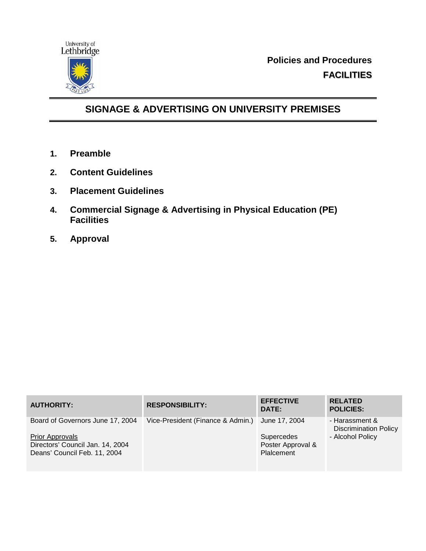

**Policies and Procedures FACILITIES**

# **SIGNAGE & ADVERTISING ON UNIVERSITY PREMISES**

- **1. Preamble**
- **2. Content Guidelines**
- **3. Placement Guidelines**
- **4. Commercial Signage & Advertising in Physical Education (PE) Facilities**
- **5. Approval**

| <b>AUTHORITY:</b>                                          | <b>RESPONSIBILITY:</b>            | <b>EFFECTIVE</b><br>DATE:       | <b>RELATED</b><br><b>POLICIES:</b>             |
|------------------------------------------------------------|-----------------------------------|---------------------------------|------------------------------------------------|
| Board of Governors June 17, 2004                           | Vice-President (Finance & Admin.) | June 17, 2004                   | - Harassment &<br><b>Discrimination Policy</b> |
| <b>Prior Approvals</b><br>Directors' Council Jan. 14, 2004 |                                   | Supercedes<br>Poster Approval & | - Alcohol Policy                               |
| Deans' Council Feb. 11, 2004                               |                                   | Plalcement                      |                                                |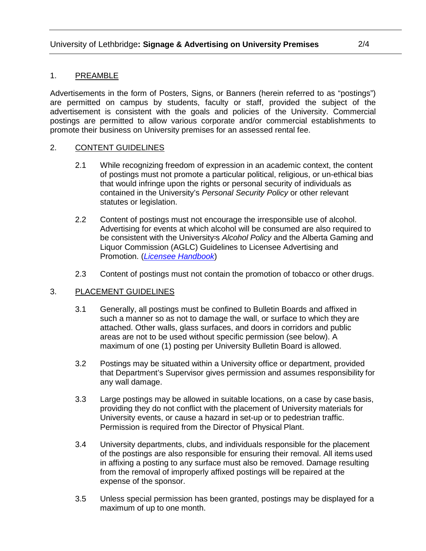## 1. PREAMBLE

Advertisements in the form of Posters, Signs, or Banners (herein referred to as "postings") are permitted on campus by students, faculty or staff, provided the subject of the advertisement is consistent with the goals and policies of the University. Commercial postings are permitted to allow various corporate and/or commercial establishments to promote their business on University premises for an assessed rental fee.

## 2. CONTENT GUIDELINES

- 2.1 While recognizing freedom of expression in an academic context, the content of postings must not promote a particular political, religious, or un-ethical bias that would infringe upon the rights or personal security of individuals as contained in the University's *Personal Security Policy* or other relevant statutes or legislation.
- 2.2 Content of postings must not encourage the irresponsible use of alcohol. Advertising for events at which alcohol will be consumed are also required to be consistent with the University=s *Alcohol Policy* and the Alberta Gaming and Liquor Commission (AGLC) Guidelines to Licensee Advertising and Promotion. (*[Licensee Handbook](https://aglc.ca/sites/aglc.ca/files/2019-08/2019-08-21_LH_Handbook.pdf)*)
- 2.3 Content of postings must not contain the promotion of tobacco or other drugs.

## 3. PLACEMENT GUIDELINES

- 3.1 Generally, all postings must be confined to Bulletin Boards and affixed in such a manner so as not to damage the wall, or surface to which they are attached. Other walls, glass surfaces, and doors in corridors and public areas are not to be used without specific permission (see below). A maximum of one (1) posting per University Bulletin Board is allowed.
- 3.2 Postings may be situated within a University office or department, provided that Department's Supervisor gives permission and assumes responsibility for any wall damage.
- 3.3 Large postings may be allowed in suitable locations, on a case by case basis, providing they do not conflict with the placement of University materials for University events, or cause a hazard in set-up or to pedestrian traffic. Permission is required from the Director of Physical Plant.
- 3.4 University departments, clubs, and individuals responsible for the placement of the postings are also responsible for ensuring their removal. All items used in affixing a posting to any surface must also be removed. Damage resulting from the removal of improperly affixed postings will be repaired at the expense of the sponsor.
- 3.5 Unless special permission has been granted, postings may be displayed for a maximum of up to one month.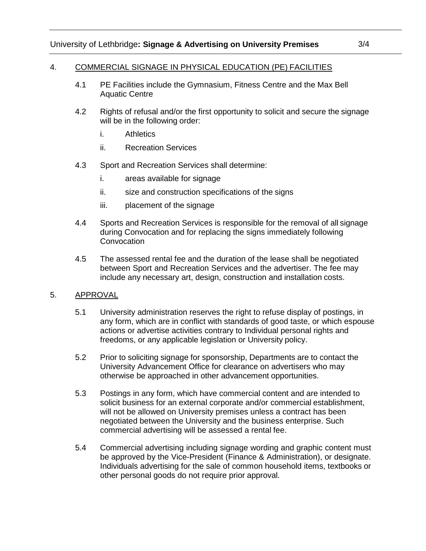### 4. COMMERCIAL SIGNAGE IN PHYSICAL EDUCATION (PE) FACILITIES

- 4.1 PE Facilities include the Gymnasium, Fitness Centre and the Max Bell Aquatic Centre
- 4.2 Rights of refusal and/or the first opportunity to solicit and secure the signage will be in the following order:
	- i. Athletics
	- ii. Recreation Services
- 4.3 Sport and Recreation Services shall determine:
	- i. areas available for signage
	- ii. size and construction specifications of the signs
	- iii. placement of the signage
- 4.4 Sports and Recreation Services is responsible for the removal of all signage during Convocation and for replacing the signs immediately following **Convocation**
- 4.5 The assessed rental fee and the duration of the lease shall be negotiated between Sport and Recreation Services and the advertiser. The fee may include any necessary art, design, construction and installation costs.

## 5. APPROVAL

- 5.1 University administration reserves the right to refuse display of postings, in any form, which are in conflict with standards of good taste, or which espouse actions or advertise activities contrary to Individual personal rights and freedoms, or any applicable legislation or University policy.
- 5.2 Prior to soliciting signage for sponsorship, Departments are to contact the University Advancement Office for clearance on advertisers who may otherwise be approached in other advancement opportunities.
- 5.3 Postings in any form, which have commercial content and are intended to solicit business for an external corporate and/or commercial establishment, will not be allowed on University premises unless a contract has been negotiated between the University and the business enterprise. Such commercial advertising will be assessed a rental fee.
- 5.4 Commercial advertising including signage wording and graphic content must be approved by the Vice-President (Finance & Administration), or designate. Individuals advertising for the sale of common household items, textbooks or other personal goods do not require prior approval.